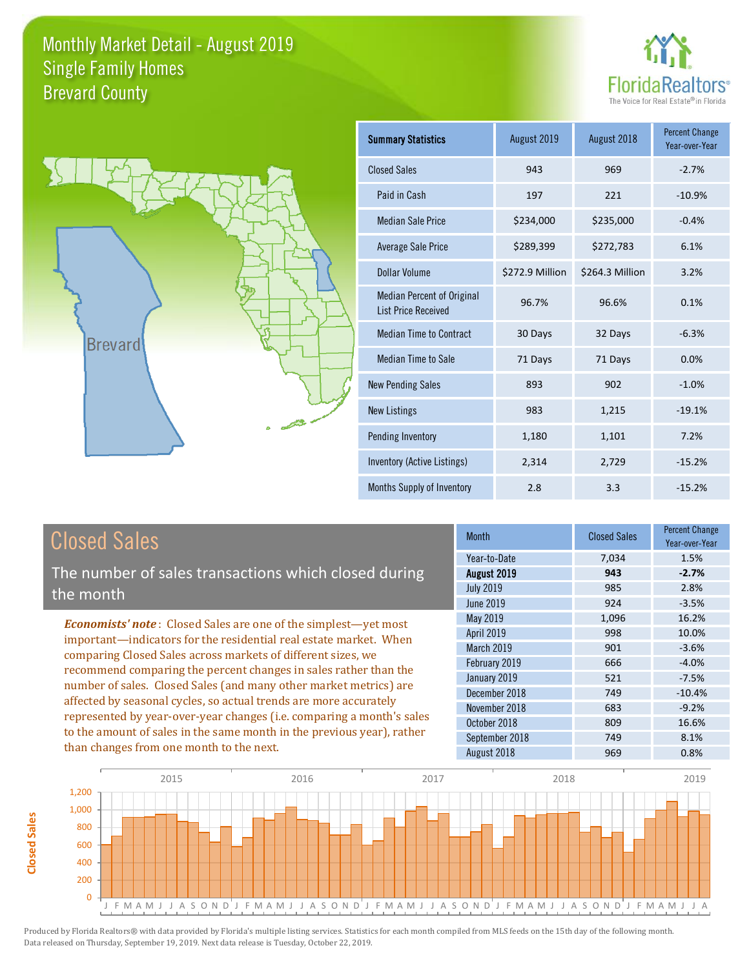



| <b>Summary Statistics</b>                                       | August 2019     | August 2018     | <b>Percent Change</b><br>Year-over-Year |
|-----------------------------------------------------------------|-----------------|-----------------|-----------------------------------------|
| <b>Closed Sales</b>                                             | 943             | 969             | $-2.7%$                                 |
| Paid in Cash                                                    | 197             | 221             | $-10.9%$                                |
| <b>Median Sale Price</b>                                        | \$234,000       | \$235,000       | $-0.4%$                                 |
| Average Sale Price                                              | \$289,399       | \$272,783       | 6.1%                                    |
| Dollar Volume                                                   | \$272.9 Million | \$264.3 Million | 3.2%                                    |
| <b>Median Percent of Original</b><br><b>List Price Received</b> | 96.7%           | 96.6%           | 0.1%                                    |
| <b>Median Time to Contract</b>                                  | 30 Days         | 32 Days         | $-6.3%$                                 |
| Median Time to Sale                                             | 71 Days         | 71 Days         | 0.0%                                    |
| <b>New Pending Sales</b>                                        | 893             | 902             | $-1.0%$                                 |
| <b>New Listings</b>                                             | 983             | 1,215           | $-19.1%$                                |
| Pending Inventory                                               | 1,180           | 1,101           | 7.2%                                    |
| Inventory (Active Listings)                                     | 2,314           | 2,729           | $-15.2%$                                |
| Months Supply of Inventory                                      | 2.8             | 3.3             | $-15.2%$                                |

| <b>Closed Sales</b> |
|---------------------|
|---------------------|

The number of sales transactions which closed during the month

*Economists' note* : Closed Sales are one of the simplest—yet most important—indicators for the residential real estate market. When comparing Closed Sales across markets of different sizes, we recommend comparing the percent changes in sales rather than the number of sales. Closed Sales (and many other market metrics) are affected by seasonal cycles, so actual trends are more accurately represented by year-over-year changes (i.e. comparing a month's sales to the amount of sales in the same month in the previous year), rather than changes from one month to the next.

| <b>Month</b>     | <b>Closed Sales</b> | Percent Change<br>Year-over-Year |
|------------------|---------------------|----------------------------------|
| Year-to-Date     | 7,034               | 1.5%                             |
| August 2019      | 943                 | $-2.7%$                          |
| <b>July 2019</b> | 985                 | 2.8%                             |
| <b>June 2019</b> | 924                 | $-3.5%$                          |
| <b>May 2019</b>  | 1,096               | 16.2%                            |
| April 2019       | 998                 | 10.0%                            |
| March 2019       | 901                 | $-3.6%$                          |
| February 2019    | 666                 | $-4.0%$                          |
| January 2019     | 521                 | $-7.5%$                          |
| December 2018    | 749                 | $-10.4%$                         |
| November 2018    | 683                 | $-9.2%$                          |
| October 2018     | 809                 | 16.6%                            |
| September 2018   | 749                 | 8.1%                             |
| August 2018      | 969                 | 0.8%                             |

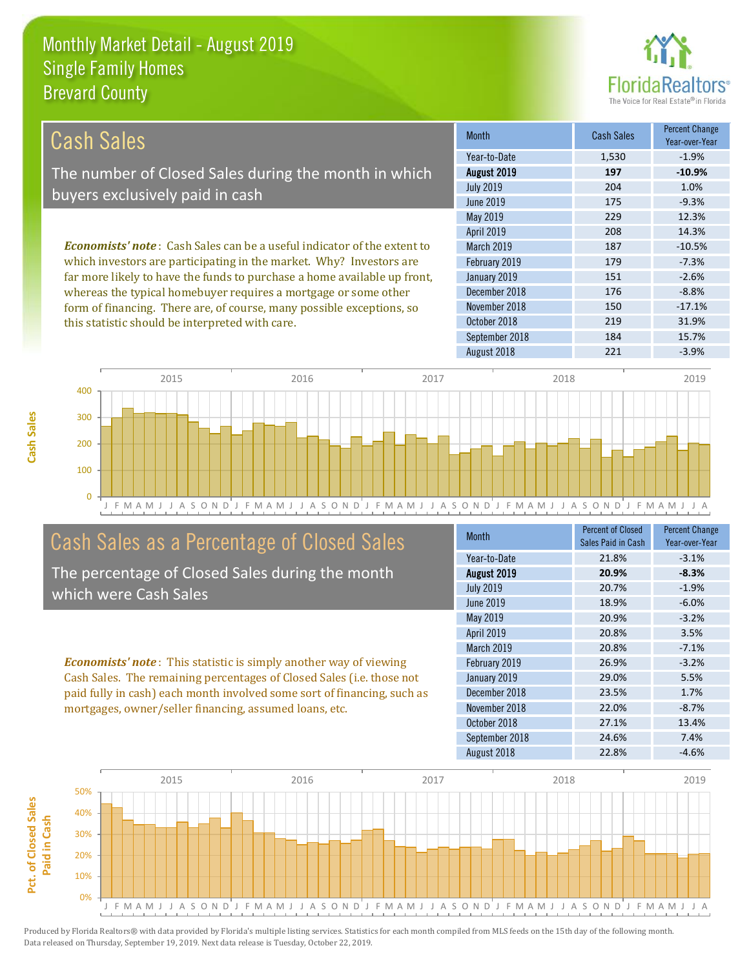

| Cash Sales                                                                     | <b>Month</b>      | <b>Cash Sales</b> | <b>Percent Change</b><br>Year-over-Year |
|--------------------------------------------------------------------------------|-------------------|-------------------|-----------------------------------------|
|                                                                                | Year-to-Date      | 1,530             | $-1.9%$                                 |
| The number of Closed Sales during the month in which                           | August 2019       | 197               | $-10.9%$                                |
| buyers exclusively paid in cash                                                | <b>July 2019</b>  | 204               | 1.0%                                    |
|                                                                                | June 2019         | 175               | $-9.3%$                                 |
|                                                                                | May 2019          | 229               | 12.3%                                   |
|                                                                                | <b>April 2019</b> | 208               | 14.3%                                   |
| <b>Economists' note:</b> Cash Sales can be a useful indicator of the extent to | March 2019        | 187               | $-10.5%$                                |
| which investors are participating in the market. Why? Investors are            | February 2019     | 179               | $-7.3%$                                 |
| far more likely to have the funds to purchase a home available up front,       | January 2019      | 151               | $-2.6%$                                 |
| whereas the typical homebuyer requires a mortgage or some other                | December 2018     | 176               | $-8.8%$                                 |
| form of financing. There are, of course, many possible exceptions, so          | November 2018     | 150               | $-17.1%$                                |
| this statistic should be interpreted with care.                                | October 2018      | 219               | 31.9%                                   |



### Cash Sales as a Percentage of Closed Sales

The percentage of Closed Sales during the month which were Cash Sales

*Economists' note* : This statistic is simply another way of viewing Cash Sales. The remaining percentages of Closed Sales (i.e. those not paid fully in cash) each month involved some sort of financing, such as mortgages, owner/seller financing, assumed loans, etc.

| <b>Month</b>     | Percent of Closed  | <b>Percent Change</b> |
|------------------|--------------------|-----------------------|
|                  | Sales Paid in Cash | Year-over-Year        |
| Year-to-Date     | 21.8%              | $-3.1%$               |
| August 2019      | 20.9%              | $-8.3%$               |
| <b>July 2019</b> | 20.7%              | $-1.9%$               |
| <b>June 2019</b> | 18.9%              | $-6.0%$               |
| May 2019         | 20.9%              | $-3.2%$               |
| April 2019       | 20.8%              | 3.5%                  |
| March 2019       | 20.8%              | $-7.1%$               |
| February 2019    | 26.9%              | $-3.2%$               |
| January 2019     | 29.0%              | 5.5%                  |
| December 2018    | 23.5%              | 1.7%                  |
| November 2018    | 22.0%              | $-8.7%$               |
| October 2018     | 27.1%              | 13.4%                 |
| September 2018   | 24.6%              | 7.4%                  |
| August 2018      | 22.8%              | $-4.6%$               |

September 2018 184 15.7%

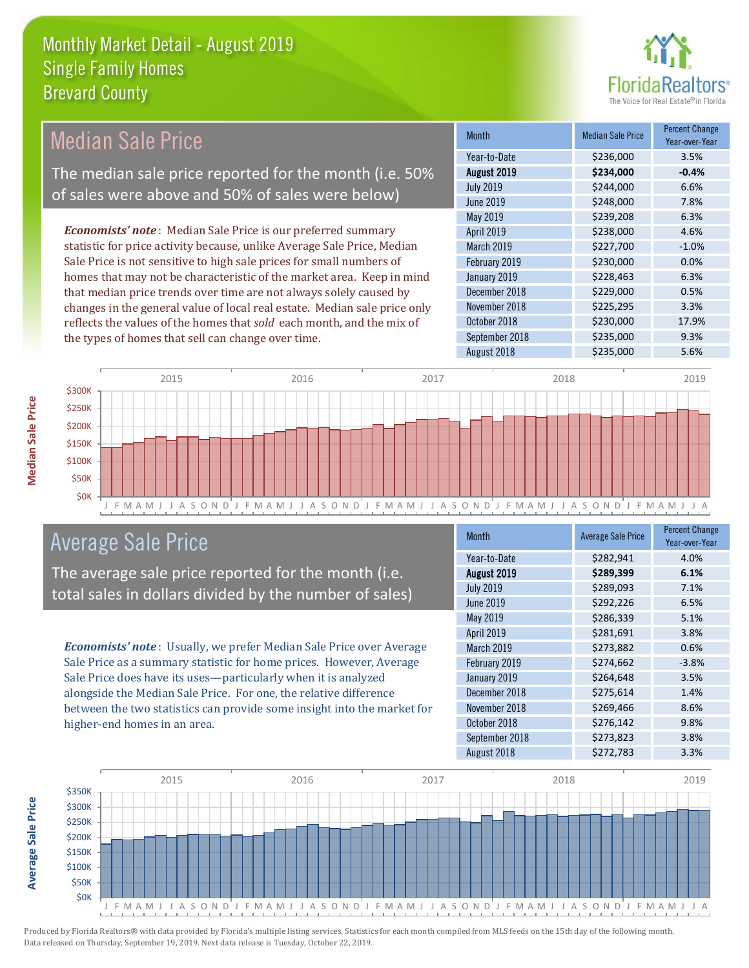the types of homes that sell can change over time.



| <b>Month</b>      | <b>Median Sale Price</b> | <b>Percent Change</b><br>Year-over-Year |
|-------------------|--------------------------|-----------------------------------------|
| Year-to-Date      | \$236,000                | 3.5%                                    |
| August 2019       | \$234,000                | $-0.4%$                                 |
| <b>July 2019</b>  | \$244,000                | 6.6%                                    |
| June 2019         | \$248,000                | 7.8%                                    |
| May 2019          | \$239,208                | 6.3%                                    |
| <b>April 2019</b> | \$238,000                | 4.6%                                    |
| <b>March 2019</b> | \$227,700                | $-1.0%$                                 |
| February 2019     | \$230,000                | 0.0%                                    |
| January 2019      | \$228,463                | 6.3%                                    |
| December 2018     | \$229,000                | 0.5%                                    |
| November 2018     | \$225,295                | 3.3%                                    |
| October 2018      | \$230,000                | 17.9%                                   |
|                   |                          |                                         |



## Average Sale Price

The average sale price reported for the month (i.e. total sales in dollars divided by the number of sales)

*Economists' note* : Usually, we prefer Median Sale Price over Average Sale Price as a summary statistic for home prices. However, Average Sale Price does have its uses—particularly when it is analyzed alongside the Median Sale Price. For one, the relative difference between the two statistics can provide some insight into the market for higher-end homes in an area.

| <b>Month</b>     | <b>Average Sale Price</b> | <b>Percent Change</b><br>Year-over-Year |
|------------------|---------------------------|-----------------------------------------|
| Year-to-Date     | \$282,941                 | 4.0%                                    |
| August 2019      | \$289,399                 | 6.1%                                    |
| <b>July 2019</b> | \$289,093                 | 7.1%                                    |
| June 2019        | \$292,226                 | 6.5%                                    |
| May 2019         | \$286,339                 | 5.1%                                    |
| April 2019       | \$281,691                 | 3.8%                                    |
| March 2019       | \$273,882                 | 0.6%                                    |
| February 2019    | \$274,662                 | $-3.8%$                                 |
| January 2019     | \$264,648                 | 3.5%                                    |
| December 2018    | \$275,614                 | 1.4%                                    |
| November 2018    | \$269,466                 | 8.6%                                    |
| October 2018     | \$276,142                 | 9.8%                                    |
| September 2018   | \$273,823                 | 3.8%                                    |
| August 2018      | \$272,783                 | 3.3%                                    |

September 2018 \$235,000 9.3% August 2018 **\$235,000** 5.6%



Produced by Florida Realtors® with data provided by Florida's multiple listing services. Statistics for each month compiled from MLS feeds on the 15th day of the following month. Data released on Thursday, September 19, 2019. Next data release is Tuesday, October 22, 2019.

**Average Sale Price**

**Average Sale Price**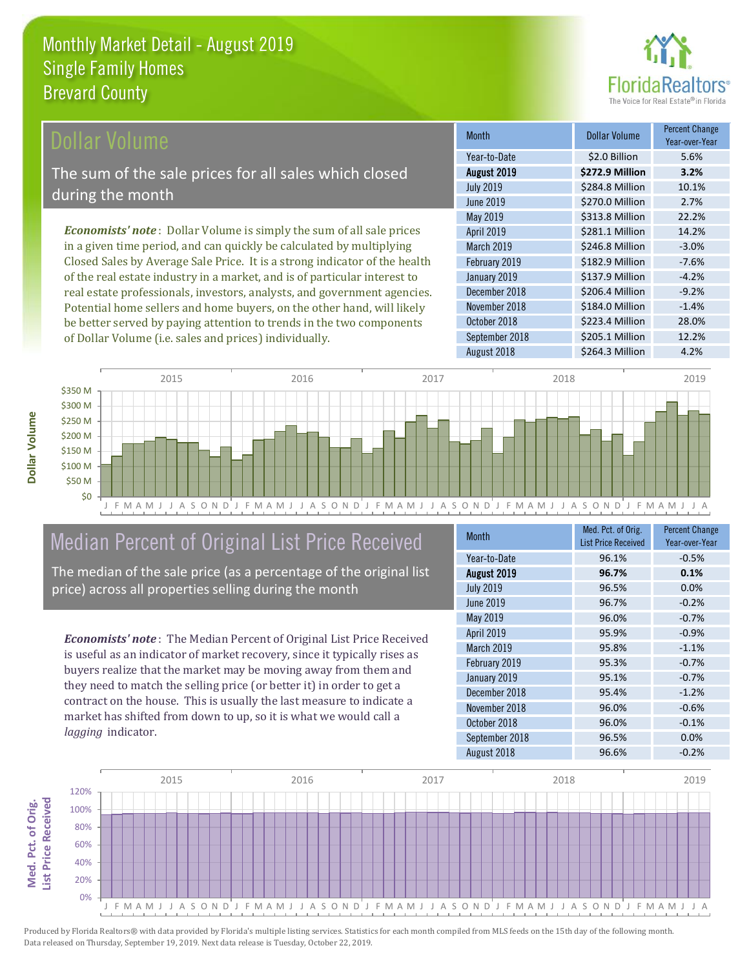

Year-over-Year

### Dollar Volume

The sum of the sale prices for all sales which closed during the month

*Economists' note* : Dollar Volume is simply the sum of all sale prices in a given time period, and can quickly be calculated by multiplying Closed Sales by Average Sale Price. It is a strong indicator of the health of the real estate industry in a market, and is of particular interest to real estate professionals, investors, analysts, and government agencies. Potential home sellers and home buyers, on the other hand, will likely be better served by paying attention to trends in the two components of Dollar Volume (i.e. sales and prices) individually.

| Year-to-Date     | \$2.0 Billion   | 5.6%    |
|------------------|-----------------|---------|
| August 2019      | \$272.9 Million | 3.2%    |
| <b>July 2019</b> | \$284.8 Million | 10.1%   |
| June 2019        | \$270.0 Million | 2.7%    |
| <b>May 2019</b>  | \$313.8 Million | 22.2%   |
| April 2019       | \$281.1 Million | 14.2%   |
| March 2019       | \$246.8 Million | $-3.0%$ |
| February 2019    | \$182.9 Million | $-7.6%$ |
| January 2019     | \$137.9 Million | $-4.2%$ |
| December 2018    | \$206.4 Million | $-9.2%$ |
| November 2018    | \$184.0 Million | $-1.4%$ |
| October 2018     | \$223.4 Million | 28.0%   |
| September 2018   | \$205.1 Million | 12.2%   |
| August 2018      | \$264.3 Million | 4.2%    |
|                  |                 |         |

Month **Dollar Volume** Percent Change



## Median Percent of Original List Price Received

The median of the sale price (as a percentage of the original list price) across all properties selling during the month

*Economists' note* : The Median Percent of Original List Price Received is useful as an indicator of market recovery, since it typically rises as buyers realize that the market may be moving away from them and they need to match the selling price (or better it) in order to get a contract on the house. This is usually the last measure to indicate a market has shifted from down to up, so it is what we would call a *lagging* indicator.

| <b>Month</b>     | Med. Pct. of Orig.         | <b>Percent Change</b> |
|------------------|----------------------------|-----------------------|
|                  | <b>List Price Received</b> | Year-over-Year        |
| Year-to-Date     | 96.1%                      | $-0.5%$               |
| August 2019      | 96.7%                      | 0.1%                  |
| <b>July 2019</b> | 96.5%                      | 0.0%                  |
| <b>June 2019</b> | 96.7%                      | $-0.2%$               |
| May 2019         | 96.0%                      | $-0.7%$               |
| April 2019       | 95.9%                      | $-0.9%$               |
| March 2019       | 95.8%                      | $-1.1%$               |
| February 2019    | 95.3%                      | $-0.7%$               |
| January 2019     | 95.1%                      | $-0.7%$               |
| December 2018    | 95.4%                      | $-1.2%$               |
| November 2018    | 96.0%                      | $-0.6%$               |
| October 2018     | 96.0%                      | $-0.1%$               |
| September 2018   | 96.5%                      | 0.0%                  |
| August 2018      | 96.6%                      | $-0.2%$               |

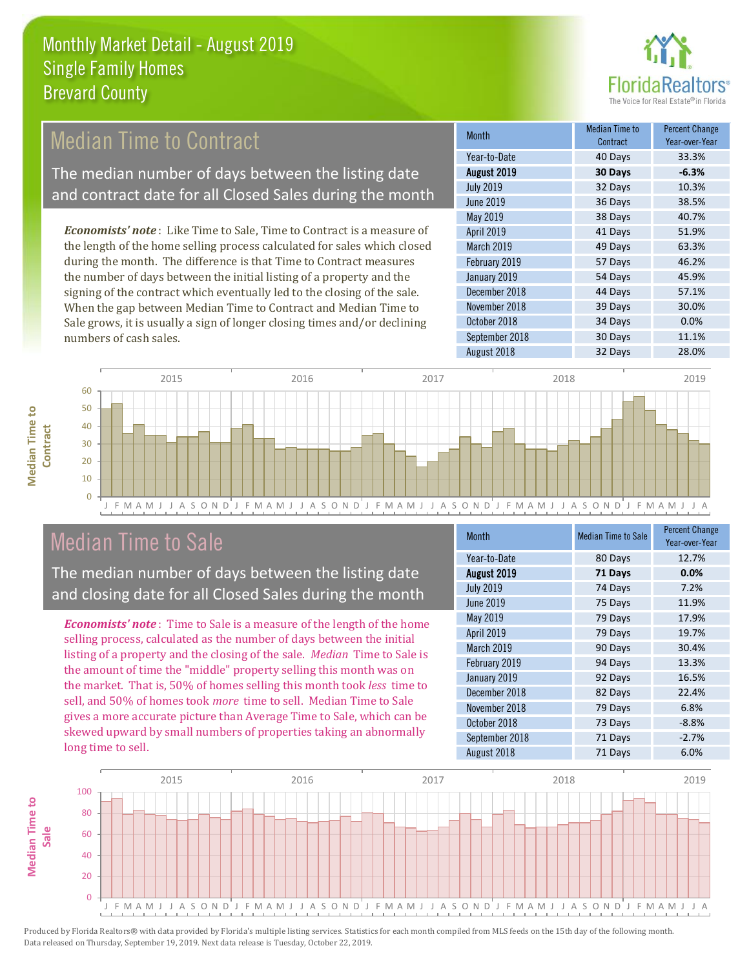

#### 36 Days 38.5% May 2019 38 Days 40.7% Month Month Median Time to Contract Percent Change Year-over-Year August 2019 **30 Days -6.3%** Year-to-Date 10 000 40 Days 33.3% July 2019 32 Days 10.3% June 2019 February 2019 57 Days 46.2% January 2019 54 Days 45.9% April 2019 **41 Days** 51.9% March 2019 **49 Days** 63.3% *Economists' note* : Like Time to Sale, Time to Contract is a measure of the length of the home selling process calculated for sales which closed during the month. The difference is that Time to Contract measures the number of days between the initial listing of a property and the Median Time to Contract The median number of days between the listing date and contract date for all Closed Sales during the month

signing of the contract which eventually led to the closing of the sale. When the gap between Median Time to Contract and Median Time to Sale grows, it is usually a sign of longer closing times and/or declining numbers of cash sales.

|                  | ovnuavi |         |
|------------------|---------|---------|
| Year-to-Date     | 40 Days | 33.3%   |
| August 2019      | 30 Days | $-6.3%$ |
| <b>July 2019</b> | 32 Days | 10.3%   |
| <b>June 2019</b> | 36 Days | 38.5%   |
| <b>May 2019</b>  | 38 Days | 40.7%   |
| April 2019       | 41 Days | 51.9%   |
| March 2019       | 49 Days | 63.3%   |
| February 2019    | 57 Days | 46.2%   |
| January 2019     | 54 Days | 45.9%   |
| December 2018    | 44 Days | 57.1%   |
| November 2018    | 39 Days | 30.0%   |
| October 2018     | 34 Days | 0.0%    |
| September 2018   | 30 Days | 11.1%   |
| August 2018      | 32 Days | 28.0%   |



### Median Time to Sale

**Median Time to** 

**Median Time to** 

The median number of days between the listing date and closing date for all Closed Sales during the month

*Economists' note* : Time to Sale is a measure of the length of the home selling process, calculated as the number of days between the initial listing of a property and the closing of the sale. *Median* Time to Sale is the amount of time the "middle" property selling this month was on the market. That is, 50% of homes selling this month took *less* time to sell, and 50% of homes took *more* time to sell. Median Time to Sale gives a more accurate picture than Average Time to Sale, which can be skewed upward by small numbers of properties taking an abnormally long time to sell.

| <b>Month</b>      | <b>Median Time to Sale</b> | <b>Percent Change</b><br>Year-over-Year |
|-------------------|----------------------------|-----------------------------------------|
| Year-to-Date      | 80 Days                    | 12.7%                                   |
| August 2019       | 71 Days                    | 0.0%                                    |
| <b>July 2019</b>  | 74 Days                    | 7.2%                                    |
| <b>June 2019</b>  | 75 Days                    | 11.9%                                   |
| May 2019          | 79 Days                    | 17.9%                                   |
| April 2019        | 79 Days                    | 19.7%                                   |
| <b>March 2019</b> | 90 Days                    | 30.4%                                   |
| February 2019     | 94 Days                    | 13.3%                                   |
| January 2019      | 92 Days                    | 16.5%                                   |
| December 2018     | 82 Days                    | 22.4%                                   |
| November 2018     | 79 Days                    | 6.8%                                    |
| October 2018      | 73 Days                    | $-8.8%$                                 |
| September 2018    | 71 Days                    | $-2.7%$                                 |
| August 2018       | 71 Days                    | 6.0%                                    |

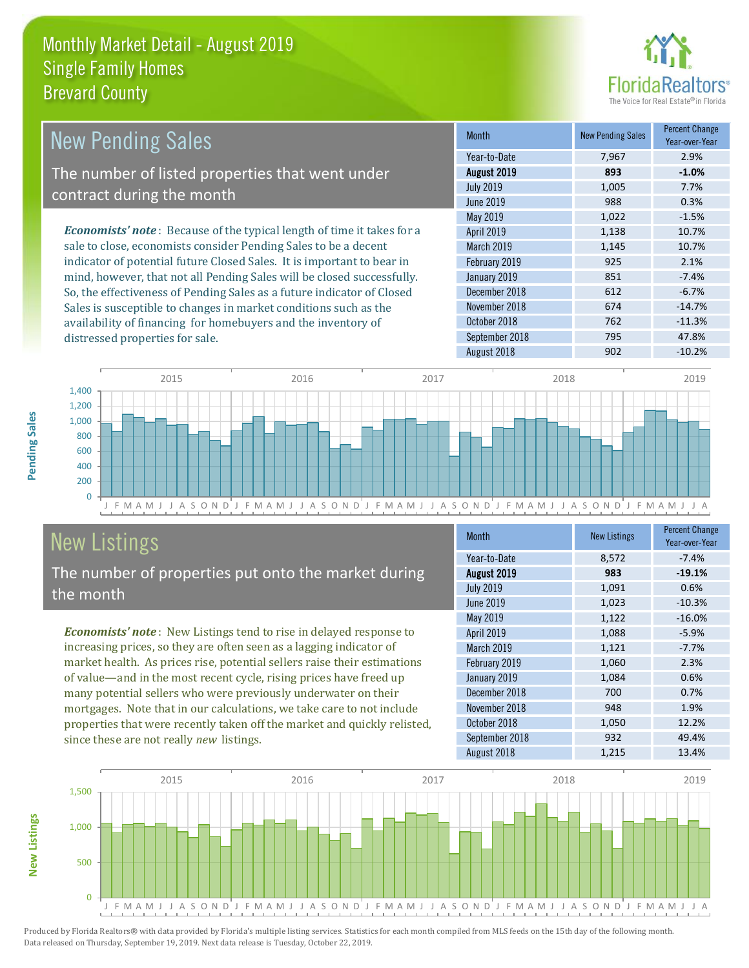

| <b>New Pending Sales</b>                                                      | <b>Month</b>      | <b>New Pending Sales</b> | <b>Percent Change</b><br>Year-over-Year |
|-------------------------------------------------------------------------------|-------------------|--------------------------|-----------------------------------------|
|                                                                               | Year-to-Date      | 7,967                    | 2.9%                                    |
| The number of listed properties that went under                               | August 2019       | 893                      | $-1.0%$                                 |
| contract during the month                                                     | <b>July 2019</b>  | 1,005                    | 7.7%                                    |
|                                                                               | June 2019         | 988                      | 0.3%                                    |
|                                                                               | May 2019          | 1,022                    | $-1.5%$                                 |
| <b>Economists' note:</b> Because of the typical length of time it takes for a | <b>April 2019</b> | 1,138                    | 10.7%                                   |
| sale to close, economists consider Pending Sales to be a decent               | <b>March 2019</b> | 1,145                    | 10.7%                                   |
| indicator of potential future Closed Sales. It is important to bear in        | February 2019     | 925                      | 2.1%                                    |
| mind, however, that not all Pending Sales will be closed successfully.        | January 2019      | 851                      | $-7.4%$                                 |
| So, the effectiveness of Pending Sales as a future indicator of Closed        | December 2018     | 612                      | $-6.7%$                                 |
| Sales is susceptible to changes in market conditions such as the              | November 2018     | 674                      | $-14.7%$                                |
| availability of financing for homebuyers and the inventory of                 | October 2018      | 762                      | $-11.3%$                                |



# New Listings

distressed properties for sale.

The number of properties put onto the market during the month

*Economists' note* : New Listings tend to rise in delayed response to increasing prices, so they are often seen as a lagging indicator of market health. As prices rise, potential sellers raise their estimations of value—and in the most recent cycle, rising prices have freed up many potential sellers who were previously underwater on their mortgages. Note that in our calculations, we take care to not include properties that were recently taken off the market and quickly relisted, since these are not really *new* listings.

| Month             | <b>New Listings</b> | <b>Percent Change</b><br>Year-over-Year |
|-------------------|---------------------|-----------------------------------------|
| Year-to-Date      | 8,572               | $-7.4%$                                 |
| August 2019       | 983                 | $-19.1%$                                |
| <b>July 2019</b>  | 1,091               | 0.6%                                    |
| June 2019         | 1,023               | $-10.3%$                                |
| May 2019          | 1,122               | $-16.0%$                                |
| April 2019        | 1,088               | $-5.9%$                                 |
| <b>March 2019</b> | 1,121               | $-7.7%$                                 |
| February 2019     | 1,060               | 2.3%                                    |
| January 2019      | 1,084               | 0.6%                                    |
| December 2018     | 700                 | 0.7%                                    |
| November 2018     | 948                 | 1.9%                                    |
| October 2018      | 1,050               | 12.2%                                   |
| September 2018    | 932                 | 49.4%                                   |
| August 2018       | 1,215               | 13.4%                                   |

September 2018 795 795 47.8% August 2018 **902** -10.2%



Produced by Florida Realtors® with data provided by Florida's multiple listing services. Statistics for each month compiled from MLS feeds on the 15th day of the following month. Data released on Thursday, September 19, 2019. Next data release is Tuesday, October 22, 2019.

**New Listings**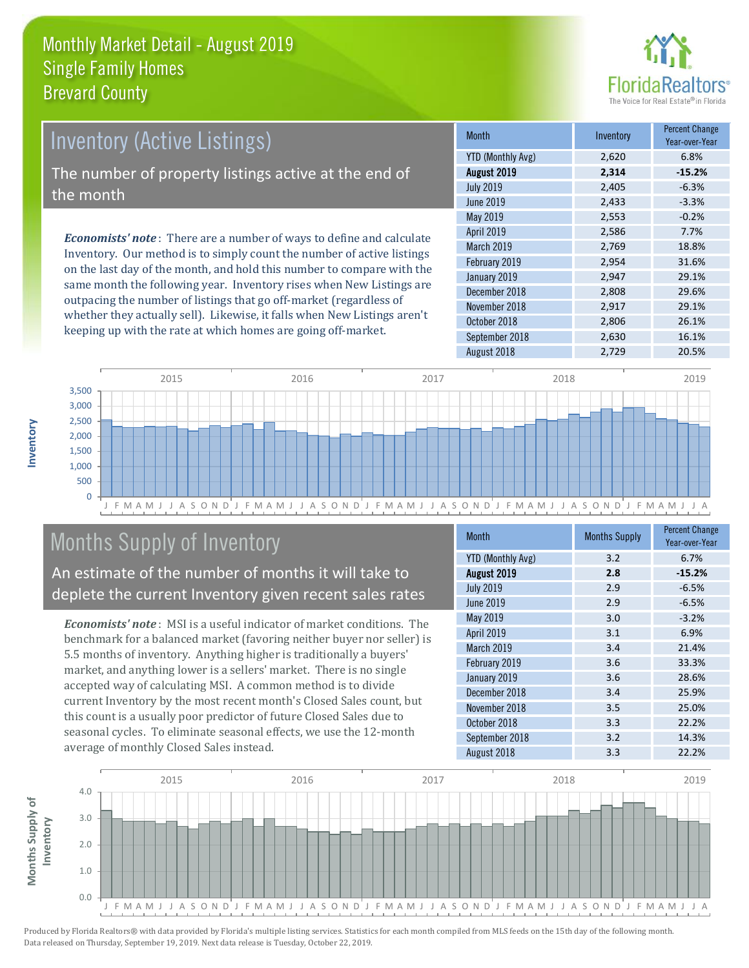

# *Economists' note* : There are a number of ways to define and calculate Inventory (Active Listings) The number of property listings active at the end of the month

Inventory. Our method is to simply count the number of active listings on the last day of the month, and hold this number to compare with the same month the following year. Inventory rises when New Listings are outpacing the number of listings that go off-market (regardless of whether they actually sell). Likewise, it falls when New Listings aren't keeping up with the rate at which homes are going off-market.

| <b>Month</b>             | Inventory | <b>Percent Change</b><br>Year-over-Year |
|--------------------------|-----------|-----------------------------------------|
| <b>YTD (Monthly Avg)</b> | 2,620     | 6.8%                                    |
| August 2019              | 2,314     | $-15.2%$                                |
| <b>July 2019</b>         | 2,405     | $-6.3%$                                 |
| <b>June 2019</b>         | 2,433     | $-3.3%$                                 |
| May 2019                 | 2,553     | $-0.2%$                                 |
| April 2019               | 2,586     | 7.7%                                    |
| March 2019               | 2,769     | 18.8%                                   |
| February 2019            | 2,954     | 31.6%                                   |
| January 2019             | 2,947     | 29.1%                                   |
| December 2018            | 2,808     | 29.6%                                   |
| November 2018            | 2,917     | 29.1%                                   |
| October 2018             | 2,806     | 26.1%                                   |
| September 2018           | 2,630     | 16.1%                                   |
| August 2018              | 2,729     | 20.5%                                   |



# Months Supply of Inventory

An estimate of the number of months it will take to deplete the current Inventory given recent sales rates

*Economists' note* : MSI is a useful indicator of market conditions. The benchmark for a balanced market (favoring neither buyer nor seller) is 5.5 months of inventory. Anything higher is traditionally a buyers' market, and anything lower is a sellers' market. There is no single accepted way of calculating MSI. A common method is to divide current Inventory by the most recent month's Closed Sales count, but this count is a usually poor predictor of future Closed Sales due to seasonal cycles. To eliminate seasonal effects, we use the 12-month average of monthly Closed Sales instead.

| Month                    | <b>Months Supply</b> | <b>Percent Change</b><br>Year-over-Year |
|--------------------------|----------------------|-----------------------------------------|
| <b>YTD (Monthly Avg)</b> | 3.2                  | 6.7%                                    |
| August 2019              | 2.8                  | $-15.2%$                                |
| <b>July 2019</b>         | 2.9                  | $-6.5%$                                 |
| <b>June 2019</b>         | 2.9                  | $-6.5%$                                 |
| May 2019                 | 3.0                  | $-3.2%$                                 |
| April 2019               | 3.1                  | 6.9%                                    |
| March 2019               | 3.4                  | 21.4%                                   |
| February 2019            | 3.6                  | 33.3%                                   |
| January 2019             | 3.6                  | 28.6%                                   |
| December 2018            | 3.4                  | 25.9%                                   |
| November 2018            | 3.5                  | 25.0%                                   |
| October 2018             | 3.3                  | 22.2%                                   |
| September 2018           | 3.2                  | 14.3%                                   |
| August 2018              | 3.3                  | 22.2%                                   |

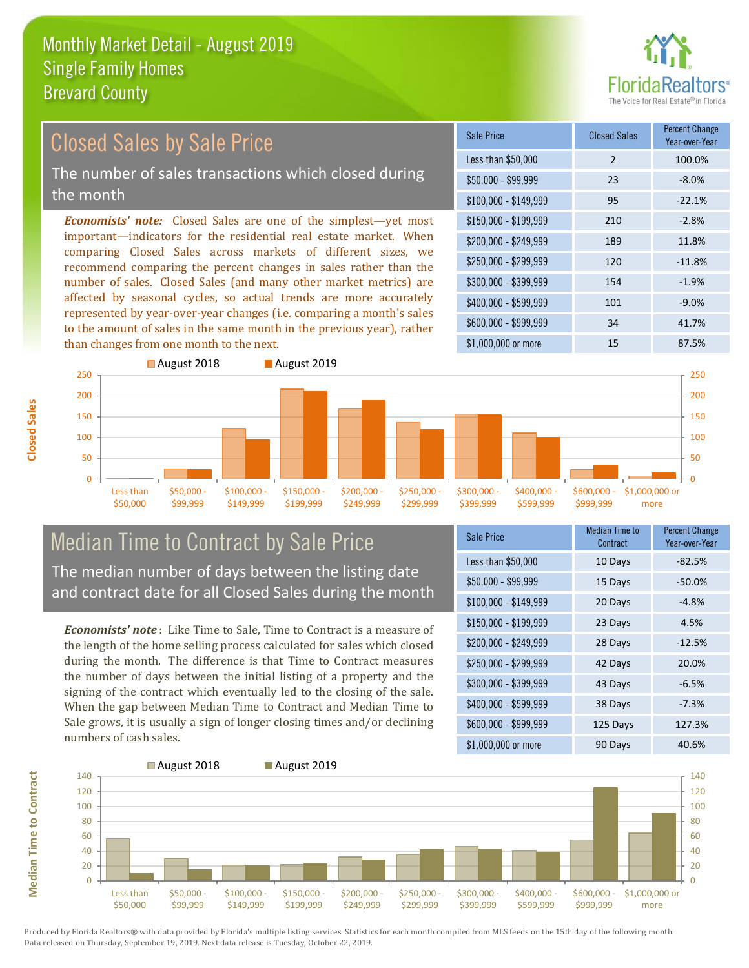

# Closed Sales by Sale Price

The number of sales transactions which closed during the month

*Economists' note:* Closed Sales are one of the simplest—yet most important—indicators for the residential real estate market. When comparing Closed Sales across markets of different sizes, we recommend comparing the percent changes in sales rather than the number of sales. Closed Sales (and many other market metrics) are affected by seasonal cycles, so actual trends are more accurately represented by year-over-year changes (i.e. comparing a month's sales to the amount of sales in the same month in the previous year), rather than changes from one month to the next.





## Median Time to Contract by Sale Price The median number of days between the listing date

and contract date for all Closed Sales during the month

*Economists' note* : Like Time to Sale, Time to Contract is a measure of the length of the home selling process calculated for sales which closed during the month. The difference is that Time to Contract measures the number of days between the initial listing of a property and the signing of the contract which eventually led to the closing of the sale. When the gap between Median Time to Contract and Median Time to Sale grows, it is usually a sign of longer closing times and/or declining numbers of cash sales.

| Sale Price            | <b>Median Time to</b><br>Contract | <b>Percent Change</b><br>Year-over-Year |
|-----------------------|-----------------------------------|-----------------------------------------|
| Less than \$50,000    | 10 Days                           | $-82.5%$                                |
| \$50,000 - \$99,999   | 15 Days                           | $-50.0%$                                |
| $$100,000 - $149,999$ | 20 Days                           | $-4.8%$                                 |
| \$150,000 - \$199,999 | 23 Days                           | 4.5%                                    |
| \$200,000 - \$249,999 | 28 Days                           | $-12.5%$                                |
| \$250,000 - \$299,999 | 42 Days                           | 20.0%                                   |
| \$300,000 - \$399,999 | 43 Days                           | $-6.5%$                                 |
| \$400,000 - \$599,999 | 38 Days                           | $-7.3%$                                 |
| \$600,000 - \$999,999 | 125 Days                          | 127.3%                                  |
| \$1,000,000 or more   | 90 Days                           | 40.6%                                   |



Produced by Florida Realtors® with data provided by Florida's multiple listing services. Statistics for each month compiled from MLS feeds on the 15th day of the following month. Data released on Thursday, September 19, 2019. Next data release is Tuesday, October 22, 2019.

**Median Time to Contract**

**Median Time to Contract**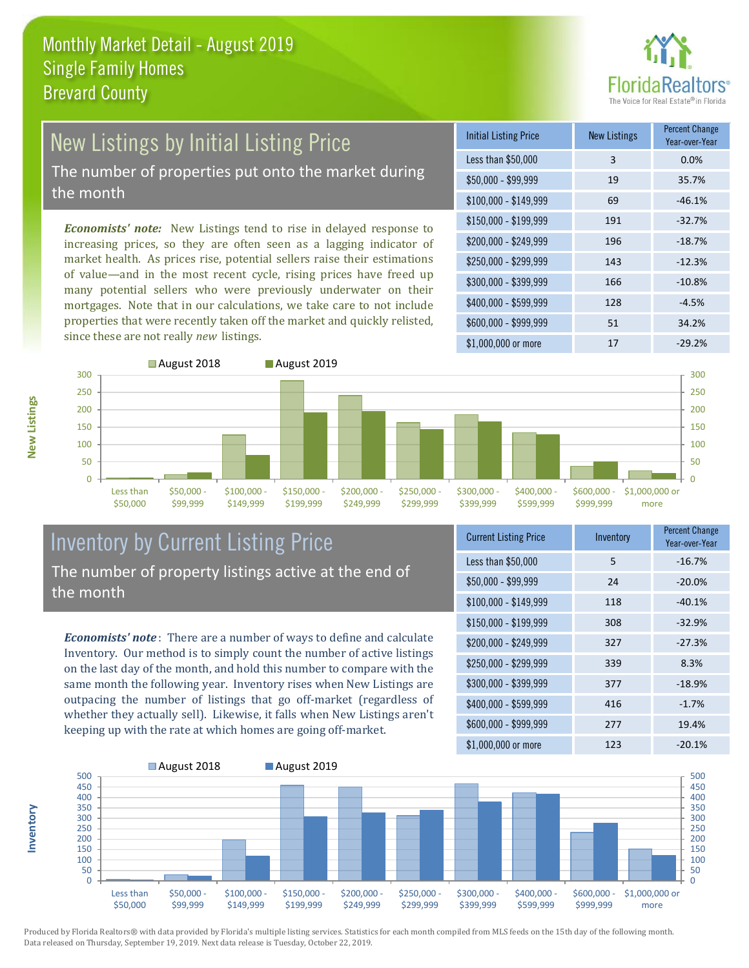

# New Listings by Initial Listing Price

The number of properties put onto the market during the month

*Economists' note:* New Listings tend to rise in delayed response to increasing prices, so they are often seen as a lagging indicator of market health. As prices rise, potential sellers raise their estimations of value—and in the most recent cycle, rising prices have freed up many potential sellers who were previously underwater on their mortgages. Note that in our calculations, we take care to not include properties that were recently taken off the market and quickly relisted, since these are not really *new* listings.

| <b>Initial Listing Price</b> | <b>New Listings</b> | <b>Percent Change</b><br>Year-over-Year |
|------------------------------|---------------------|-----------------------------------------|
| Less than \$50,000           | 3                   | 0.0%                                    |
| \$50,000 - \$99,999          | 19                  | 35.7%                                   |
| $$100,000 - $149,999$        | 69                  | $-46.1%$                                |
| \$150,000 - \$199,999        | 191                 | $-32.7%$                                |
| \$200,000 - \$249,999        | 196                 | $-18.7%$                                |
| \$250,000 - \$299,999        | 143                 | $-12.3%$                                |
| \$300,000 - \$399,999        | 166                 | $-10.8%$                                |
| \$400,000 - \$599,999        | 128                 | $-4.5%$                                 |
| \$600,000 - \$999,999        | 51                  | 34.2%                                   |
| \$1,000,000 or more          | 17                  | $-29.2%$                                |



#### Inventory by Current Listing Price The number of property listings active at the end of the month

*Economists' note* : There are a number of ways to define and calculate Inventory. Our method is to simply count the number of active listings on the last day of the month, and hold this number to compare with the same month the following year. Inventory rises when New Listings are outpacing the number of listings that go off-market (regardless of whether they actually sell). Likewise, it falls when New Listings aren't keeping up with the rate at which homes are going off-market.

| <b>Current Listing Price</b> | Inventory | Percent Change<br>Year-over-Year |
|------------------------------|-----------|----------------------------------|
| Less than \$50,000           | 5         | $-16.7%$                         |
| $$50,000 - $99,999$          | 24        | $-20.0%$                         |
| $$100,000 - $149,999$        | 118       | $-40.1%$                         |
| $$150,000 - $199,999$        | 308       | $-32.9%$                         |
| \$200,000 - \$249,999        | 327       | $-27.3%$                         |
| \$250,000 - \$299,999        | 339       | 8.3%                             |
| \$300,000 - \$399,999        | 377       | $-18.9%$                         |
| \$400,000 - \$599,999        | 416       | $-1.7%$                          |
| \$600,000 - \$999,999        | 277       | 19.4%                            |
| \$1,000,000 or more          | 123       | $-20.1%$                         |



Produced by Florida Realtors® with data provided by Florida's multiple listing services. Statistics for each month compiled from MLS feeds on the 15th day of the following month. Data released on Thursday, September 19, 2019. Next data release is Tuesday, October 22, 2019.

**Inventory**